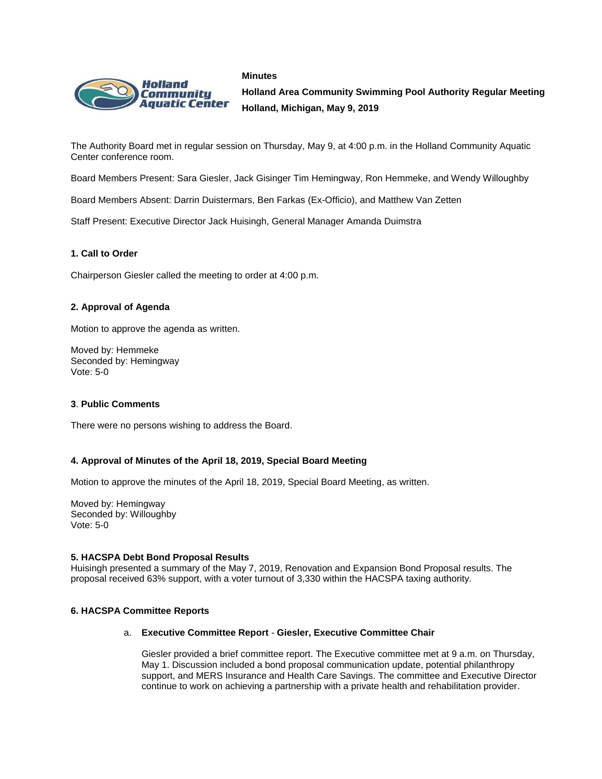#### **Minutes**



**Holland Area Community Swimming Pool Authority Regular Meeting Holland, Michigan, May 9, 2019**

The Authority Board met in regular session on Thursday, May 9, at 4:00 p.m. in the Holland Community Aquatic Center conference room.

Board Members Present: Sara Giesler, Jack Gisinger Tim Hemingway, Ron Hemmeke, and Wendy Willoughby

Board Members Absent: Darrin Duistermars, Ben Farkas (Ex-Officio), and Matthew Van Zetten

Staff Present: Executive Director Jack Huisingh, General Manager Amanda Duimstra

## **1. Call to Order**

Chairperson Giesler called the meeting to order at 4:00 p.m.

## **2. Approval of Agenda**

Motion to approve the agenda as written.

Moved by: Hemmeke Seconded by: Hemingway Vote: 5-0

## **3**. **Public Comments**

There were no persons wishing to address the Board.

## **4. Approval of Minutes of the April 18, 2019, Special Board Meeting**

Motion to approve the minutes of the April 18, 2019, Special Board Meeting, as written.

Moved by: Hemingway Seconded by: Willoughby Vote: 5-0

## **5. HACSPA Debt Bond Proposal Results**

Huisingh presented a summary of the May 7, 2019, Renovation and Expansion Bond Proposal results. The proposal received 63% support, with a voter turnout of 3,330 within the HACSPA taxing authority.

## **6. HACSPA Committee Reports**

## a. **Executive Committee Report** - **Giesler, Executive Committee Chair**

Giesler provided a brief committee report. The Executive committee met at 9 a.m. on Thursday, May 1. Discussion included a bond proposal communication update, potential philanthropy support, and MERS Insurance and Health Care Savings. The committee and Executive Director continue to work on achieving a partnership with a private health and rehabilitation provider.